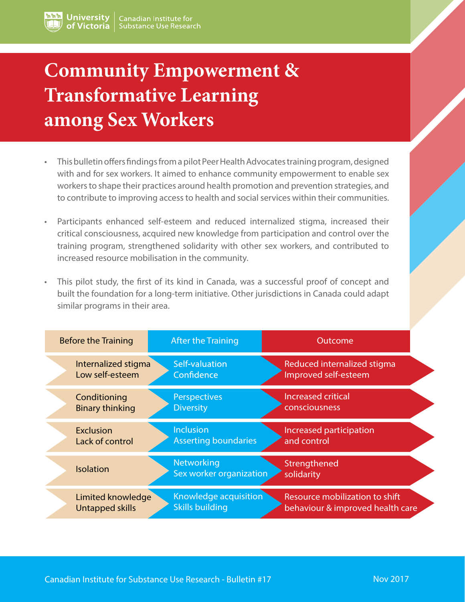# **Community Empowerment & Transformative Learning among Sex Workers**

- This bulletin offers findings from a pilot Peer Health Advocates training program, designed with and for sex workers. It aimed to enhance community empowerment to enable sex workers to shape their practices around health promotion and prevention strategies, and to contribute to improving access to health and social services within their communities.
- Participants enhanced self-esteem and reduced internalized stigma, increased their critical consciousness, acquired new knowledge from participation and control over the training program, strengthened solidarity with other sex workers, and contributed to increased resource mobilisation in the community.
- This pilot study, the first of its kind in Canada, was a successful proof of concept and built the foundation for a long-term initiative. Other jurisdictions in Canada could adapt similar programs in their area.

| <b>Before the Training</b> | <b>After the Training</b>             | Outcome                          |
|----------------------------|---------------------------------------|----------------------------------|
| Internalized stigma        | Self-valuation                        | Reduced internalized stigma      |
| Low self-esteem            | Confidence                            | Improved self-esteem             |
| Conditioning               | Perspectives                          | <b>Increased critical</b>        |
| <b>Binary thinking</b>     | <b>Diversity</b>                      | consciousness                    |
| <b>Exclusion</b>           | <b>Inclusion</b>                      | Increased participation          |
| Lack of control            | <b>Asserting boundaries</b>           | and control                      |
| <b>Isolation</b>           | Networking<br>Sex worker organization | Strengthened<br>solidarity       |
| Limited knowledge          | Knowledge acquisition                 | Resource mobilization to shift   |
| Untapped skills            | <b>Skills building</b>                | behaviour & improved health care |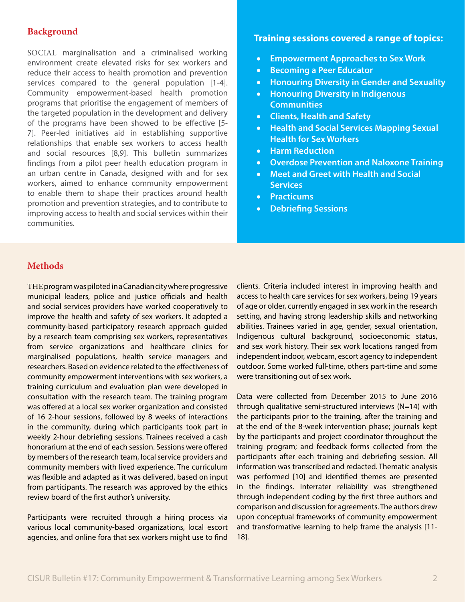## **Background**

SOCIAL marginalisation and a criminalised working environment create elevated risks for sex workers and reduce their access to health promotion and prevention services compared to the general population [1-4]. Community empowerment-based health promotion programs that prioritise the engagement of members of the targeted population in the development and delivery of the programs have been showed to be effective [5- 7]. Peer-led initiatives aid in establishing supportive relationships that enable sex workers to access health and social resources [8,9]. This bulletin summarizes findings from a pilot peer health education program in an urban centre in Canada, designed with and for sex workers, aimed to enhance community empowerment to enable them to shape their practices around health promotion and prevention strategies, and to contribute to improving access to health and social services within their communities.

## **Training sessions covered a range of topics:**

- • **Empowerment Approaches to Sex Work**
- • **Becoming a Peer Educator**
- • **Honouring Diversity in Gender and Sexuality**
- • **Honouring Diversity in Indigenous Communities**
- • **Clients, Health and Safety**
- • **Health and Social Services Mapping Sexual Health for Sex Workers**
- • **Harm Reduction**
- • **Overdose Prevention and Naloxone Training**
- • **Meet and Greet with Health and Social Services**
- • **Practicums**
- • **Debriefing Sessions**

## **Methods**

THE programwas piloted in a Canadian city where progressive municipal leaders, police and justice officials and health and social services providers have worked cooperatively to improve the health and safety of sex workers. It adopted a community-based participatory research approach guided by a research team comprising sex workers, representatives from service organizations and healthcare clinics for marginalised populations, health service managers and researchers. Based on evidence related to the effectiveness of community empowerment interventions with sex workers, a training curriculum and evaluation plan were developed in consultation with the research team. The training program was offered at a local sex worker organization and consisted of 16 2-hour sessions, followed by 8 weeks of interactions in the community, during which participants took part in weekly 2-hour debriefing sessions. Trainees received a cash honorarium at the end of each session. Sessions were offered by members of the research team, local service providers and community members with lived experience. The curriculum was flexible and adapted as it was delivered, based on input from participants. The research was approved by the ethics review board of the first author's university.

Participants were recruited through a hiring process via various local community-based organizations, local escort agencies, and online fora that sex workers might use to find clients. Criteria included interest in improving health and access to health care services for sex workers, being 19 years of age or older, currently engaged in sex work in the research setting, and having strong leadership skills and networking abilities. Trainees varied in age, gender, sexual orientation, Indigenous cultural background, socioeconomic status, and sex work history. Their sex work locations ranged from independent indoor, webcam, escort agency to independent outdoor. Some worked full-time, others part-time and some were transitioning out of sex work.

Data were collected from December 2015 to June 2016 through qualitative semi-structured interviews (N=14) with the participants prior to the training, after the training and at the end of the 8-week intervention phase; journals kept by the participants and project coordinator throughout the training program; and feedback forms collected from the participants after each training and debriefing session. All information was transcribed and redacted. Thematic analysis was performed [10] and identified themes are presented in the findings. Interrater reliability was strengthened through independent coding by the first three authors and comparison and discussion for agreements. The authors drew upon conceptual frameworks of community empowerment and transformative learning to help frame the analysis [11- 18].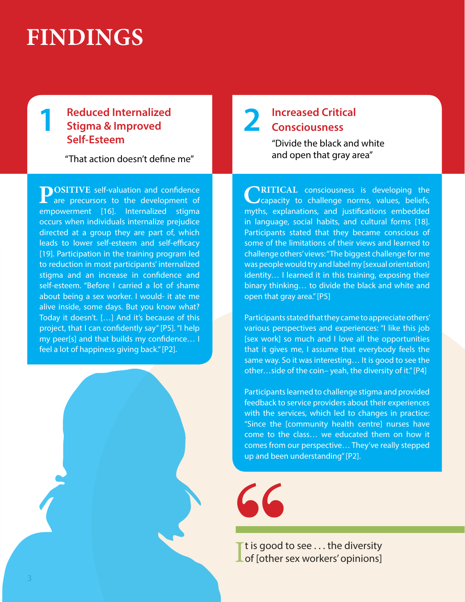# **FINDINGS**

# **1 Reduced Internalized Stigma & Improved Self-Esteem**

"That action doesn't define me"

**POSITIVE** self-valuation and confidence<br>are precursors to the development of empowerment [16]. Internalized stigma occurs when individuals internalize prejudice directed at a group they are part of, which leads to lower self-esteem and self-efficacy [19]. Participation in the training program led to reduction in most participants' internalized stigma and an increase in confidence and self-esteem. "Before I carried a lot of shame about being a sex worker. I would- it ate me alive inside, some days. But you know what? Today it doesn't. […] And it's because of this project, that I can confidently say" [P5]. "I help my peer[s] and that builds my confidence… I feel a lot of happiness giving back." [P2].

# **2 Increased Critical Consciousness**

"Divide the black and white and open that gray area"

**CRITICAL** consciousness is developing the capacity to challenge norms, values, beliefs, myths, explanations, and justifications embedded in language, social habits, and cultural forms [18]. Participants stated that they became conscious of some of the limitations of their views and learned to challenge others' views: "The biggest challenge for me was people would try and label my [sexual orientation] identity… I learned it in this training, exposing their binary thinking… to divide the black and white and open that gray area." [P5]

Participants stated that they came to appreciate others' various perspectives and experiences: "I like this job [sex work] so much and I love all the opportunities that it gives me, I assume that everybody feels the same way. So it was interesting… It is good to see the other…side of the coin– yeah, the diversity of it." [P4]

Participants learned to challenge stigma and provided feedback to service providers about their experiences with the services, which led to changes in practice: "Since the [community health centre] nurses have come to the class… we educated them on how it comes from our perspective… They've really stepped up and been understanding" [P2].



It is good to see . . . the diversity<br>
I of [other sex workers' opinions]  $\blacksquare$  t is good to see ... the diversity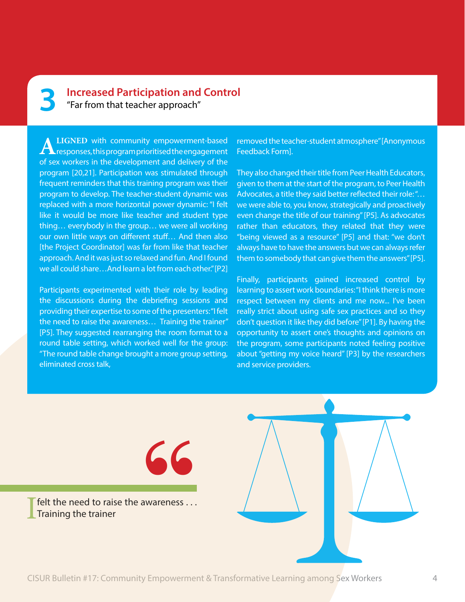# **3 Increased Participation and Control** "Far from that teacher approach"

**ALIGNED** with community empowerment-based<br>
responses, this program prioritised the engagement of sex workers in the development and delivery of the program [20,21]. Participation was stimulated through frequent reminders that this training program was their program to develop. The teacher-student dynamic was replaced with a more horizontal power dynamic: "I felt like it would be more like teacher and student type thing… everybody in the group… we were all working our own little ways on different stuff… And then also [the Project Coordinator] was far from like that teacher approach. And it was just so relaxed and fun. And I found we all could share…And learn a lot from each other." [P2]

Participants experimented with their role by leading the discussions during the debriefing sessions and providing their expertise to some of the presenters: "I felt the need to raise the awareness… Training the trainer" [P5]. They suggested rearranging the room format to a round table setting, which worked well for the group: "The round table change brought a more group setting, eliminated cross talk,

removed the teacher-student atmosphere" [Anonymous Feedback Form].

They also changed their title from Peer Health Educators, given to them at the start of the program, to Peer Health Advocates, a title they said better reflected their role: "… we were able to, you know, strategically and proactively even change the title of our training" [P5]. As advocates rather than educators, they related that they were "being viewed as a resource" [P5] and that: "we don't always have to have the answers but we can always refer them to somebody that can give them the answers" [P5].

Finally, participants gained increased control by learning to assert work boundaries: "I think there is more respect between my clients and me now... I've been really strict about using safe sex practices and so they don't question it like they did before" [P1]. By having the opportunity to assert one's thoughts and opinions on the program, some participants noted feeling positive about "getting my voice heard" [P3] by the researchers and service providers.

I felt the need to raise the awareness . . . Training the trainer

**"**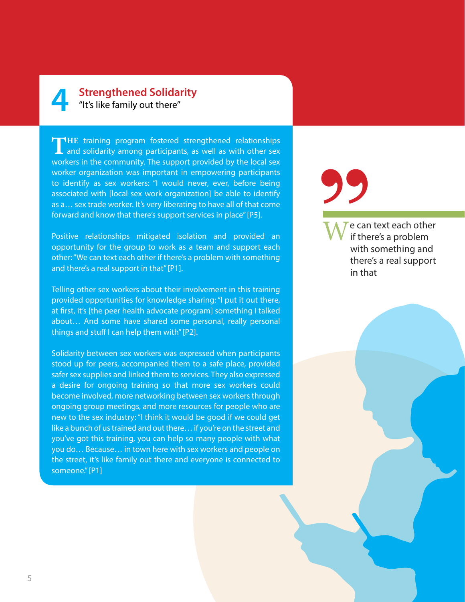# **4 Strengthened Solidarity**  "It's like family out there"

THE training program fostered strengthened relationships and solidarity among participants, as well as with other sex workers in the community. The support provided by the local sex worker organization was important in empowering participants to identify as sex workers: "I would never, ever, before being associated with [local sex work organization] be able to identify as a… sex trade worker. It's very liberating to have all of that come forward and know that there's support services in place" [P5].

Positive relationships mitigated isolation and provided an opportunity for the group to work as a team and support each other: "We can text each other if there's a problem with something and there's a real support in that" [P1].

Telling other sex workers about their involvement in this training provided opportunities for knowledge sharing: "I put it out there, at first, it's [the peer health advocate program] something I talked about… And some have shared some personal, really personal things and stuff I can help them with" [P2].

Solidarity between sex workers was expressed when participants stood up for peers, accompanied them to a safe place, provided safer sex supplies and linked them to services. They also expressed a desire for ongoing training so that more sex workers could become involved, more networking between sex workers through ongoing group meetings, and more resources for people who are new to the sex industry: "I think it would be good if we could get like a bunch of us trained and out there… if you're on the street and you've got this training, you can help so many people with what you do… Because… in town here with sex workers and people on the street, it's like family out there and everyone is connected to someone." [P1]

e can text each other if there's a problem with something and there's a real support in that **"**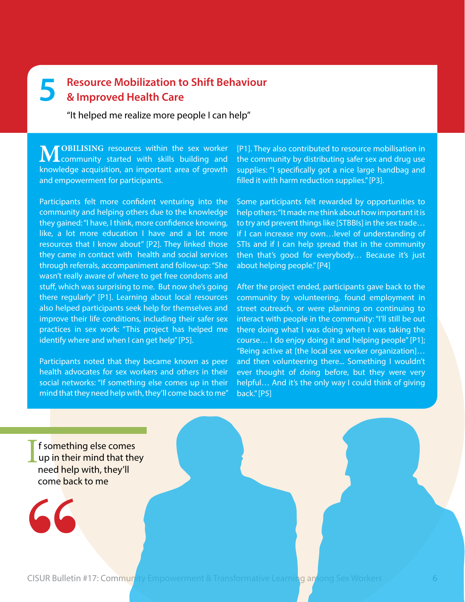# **5 Resource Mobilization to Shift Behaviour & Improved Health Care**

"It helped me realize more people I can help"

**MOBILISING** resources within the sex worker<br>
community started with skills building and knowledge acquisition, an important area of growth and empowerment for participants.

Participants felt more confident venturing into the community and helping others due to the knowledge they gained: "I have, I think, more confidence knowing, like, a lot more education I have and a lot more resources that I know about" [P2]. They linked those they came in contact with health and social services through referrals, accompaniment and follow-up: "She wasn't really aware of where to get free condoms and stuff, which was surprising to me. But now she's going there regularly" [P1]. Learning about local resources also helped participants seek help for themselves and improve their life conditions, including their safer sex practices in sex work: "This project has helped me identify where and when I can get help" [P5].

Participants noted that they became known as peer health advocates for sex workers and others in their social networks: "If something else comes up in their mind that they need help with, they'll come back to me" [P1]. They also contributed to resource mobilisation in the community by distributing safer sex and drug use supplies: "I specifically got a nice large handbag and filled it with harm reduction supplies." [P3].

Some participants felt rewarded by opportunities to help others: "It made me think about how important it is to try and prevent things like [STBBIs] in the sex trade… if I can increase my own…level of understanding of STIs and if I can help spread that in the community then that's good for everybody… Because it's just about helping people." [P4]

After the project ended, participants gave back to the community by volunteering, found employment in street outreach, or were planning on continuing to interact with people in the community: "I'll still be out there doing what I was doing when I was taking the course… I do enjoy doing it and helping people" [P1]; "Being active at [the local sex worker organization]… and then volunteering there... Something I wouldn't ever thought of doing before, but they were very helpful… And it's the only way I could think of giving back." [P5]

I f something else comes up in their mind that they need help with, they'll come back to me

**"**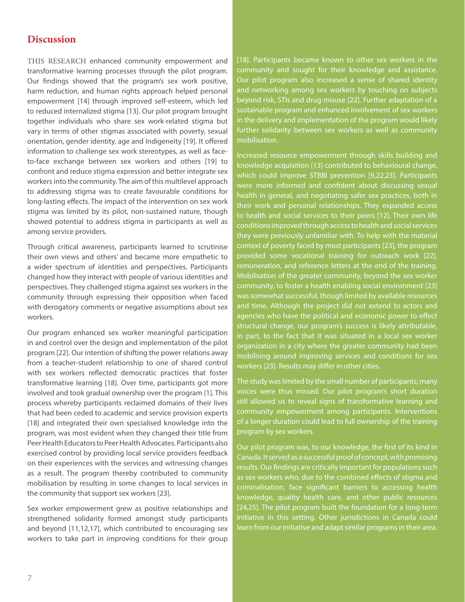# **Discussion**

THIS RESEARCH enhanced community empowerment and transformative learning processes through the pilot program. Our findings showed that the program's sex work positive, harm reduction, and human rights approach helped personal empowerment [14] through improved self-esteem, which led to reduced internalized stigma [13]. Our pilot program brought together individuals who share sex work-related stigma but vary in terms of other stigmas associated with poverty, sexual orientation, gender identity, age and Indigeneity [19]. It offered information to challenge sex work stereotypes, as well as faceto-face exchange between sex workers and others [19] to confront and reduce stigma expression and better integrate sex workers into the community. The aim of this multilevel approach to addressing stigma was to create favourable conditions for long-lasting effects. The impact of the intervention on sex work stigma was limited by its pilot, non-sustained nature, though showed potential to address stigma in participants as well as among service providers.

Through critical awareness, participants learned to scrutinise their own views and others' and became more empathetic to a wider spectrum of identities and perspectives. Participants changed how they interact with people of various identities and perspectives. They challenged stigma against sex workers in the community through expressing their opposition when faced with derogatory comments or negative assumptions about sex workers.

Our program enhanced sex worker meaningful participation in and control over the design and implementation of the pilot program [22]. Our intention of shifting the power relations away from a teacher-student relationship to one of shared control with sex workers reflected democratic practices that foster transformative learning [18]. Over time, participants got more involved and took gradual ownership over the program [1]. This process whereby participants reclaimed domains of their lives that had been ceded to academic and service provision experts [18] and integrated their own specialised knowledge into the program, was most evident when they changed their title from Peer Health Educators to Peer Health Advocates. Participants also exercised control by providing local service providers feedback on their experiences with the services and witnessing changes as a result. The program thereby contributed to community mobilisation by resulting in some changes to local services in the community that support sex workers [23].

Sex worker empowerment grew as positive relationships and strengthened solidarity formed amongst study participants and beyond [11,12,17], which contributed to encouraging sex workers to take part in improving conditions for their group

[18]. Participants became known to other sex workers in the community and sought for their knowledge and assistance. Our pilot program also increased a sense of shared identity and networking among sex workers by touching on subjects beyond risk, STIs and drug misuse [22]. Further adaptation of a sustainable program and enhanced involvement of sex workers in the delivery and implementation of the program would likely further solidarity between sex workers as well as community mobilisation.

Increased resource empowerment through skills building and knowledge acquisition [13] contributed to behavioural change, which could improve STBBI prevention [9,22,23]. Participants were more informed and confident about discussing sexual health in general, and negotiating safer sex practices, both in their work and personal relationships. They expanded access to health and social services to their peers [12]. Their own life conditions improved through access to health and social services they were previously unfamiliar with. To help with the material context of poverty faced by most participants [23], the program provided some vocational training for outreach work [22], remuneration, and reference letters at the end of the training. Mobilisation of the greater community, beyond the sex worker community, to foster a health enabling social environment [23] was somewhat successful, though limited by available resources and time. Although the project did not extend to actors and agencies who have the political and economic power to effect structural change, our program's success is likely attributable, in part, to the fact that it was situated in a local sex worker organization in a city where the greater community had been mobilising around improving services and conditions for sex workers [23]. Results may differ in other cities.

The study was limited by the small number of participants; many voices were thus missed. Our pilot program's short duration still allowed us to reveal signs of transformative learning and community empowerment among participants. Interventions of a longer duration could lead to full ownership of the training program by sex workers.

Our pilot program was, to our knowledge, the first of its kind in Canada. It served as a successful proof of concept, with promising results. Our findings are critically important for populations such as sex workers who, due to the combined effects of stigma and criminalisation, face significant barriers to accessing health knowledge, quality health care, and other public resources [24,25]. The pilot program built the foundation for a long-term initiative in this setting. Other jurisdictions in Canada could learn from our initiative and adapt similar programs in their area.